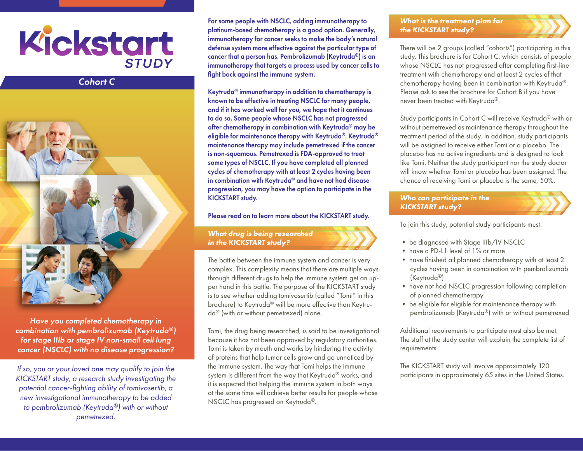

# *Cohort C*



*Have you completed chemotherapy in combination with pembrolizumab (Keytruda®) for stage IIIb or stage IV non-small cell lung cancer (NSCLC) with no disease progression?*

*If so, you or your loved one may qualify to join the KICKSTART study, a research study investigating the potential cancer-fighting ability of tomivosertib, a new investigational immunotherapy to be added to pembrolizumab (Keytruda®) with or without pemetrexed.*

For some people with NSCLC, adding immunotherapy to platinum-based chemotherapy is a good option. Generally, immunotherapy for cancer seeks to make the body's natural defense system more effective against the particular type of cancer that a person has. Pembrolizumab (Keytruda®) is an immunotherapy that targets a process used by cancer cells to fight back against the immune system.

Keytruda® immunotherapy in addition to chemotherapy is known to be effective in treating NSCLC for many people, and if it has worked well for you, we hope that it continues to do so. Some people whose NSCLC has not progressed after chemotherapy in combination with Keytruda® may be eligible for maintenance therapy with Keytruda®. Keytruda® maintenance therapy may include pemetrexed if the cancer is non-squamous. Pemetrexed is FDA-approved to treat some types of NSCLC. If you have completed all planned cycles of chemotherapy with at least 2 cycles having been in combination with Keytruda® and have not had disease progression, you may have the option to participate in the KICKSTART study.

Please read on to learn more about the KICKSTART study.

*What drug is being researched in the KICKSTART study?*

The battle between the immune system and cancer is very complex. This complexity means that there are multiple ways through different drugs to help the immune system get an upper hand in this battle. The purpose of the KICKSTART study is to see whether adding tomivosertib (called "Tomi" in this brochure) to Keytruda® will be more effective than Keytruda® (with or without pemetrexed) alone.

Tomi, the drug being researched, is said to be investigational because it has not been approved by regulatory authorities. Tomi is taken by mouth and works by hindering the activity of proteins that help tumor cells grow and go unnoticed by the immune system. The way that Tomi helps the immune system is different from the way that Keytruda® works, and it is expected that helping the immune system in both ways at the same time will achieve better results for people whose NSCLC has progressed on Keytruda®.

#### *What is the treatment plan for the KICKSTART study?*

There will be 2 groups (called "cohorts") participating in this study. This brochure is for Cohort C, which consists of people whose NSCLC has not progressed after completing first-line treatment with chemotherapy and at least 2 cycles of that chemotherapy having been in combination with Keytruda®. Please ask to see the brochure for Cohort B if you have never been treated with Keytruda®.

Study participants in Cohort C will receive Keytruda® with or without pemetrexed as maintenance therapy throughout the treatment period of the study. In addition, study participants will be assigned to receive either Tomi or a placebo. The placebo has no active ingredients and is designed to look like Tomi. Neither the study participant nor the study doctor will know whether Tomi or placebo has been assigned. The chance of receiving Tomi or placebo is the same, 50%.

## *Who can participate in the KICKSTART study?*

To join this study, potential study participants must:

- be diagnosed with Stage IIIb/IV NSCLC
- have a PD-L1 level of 1% or more
- have finished all planned chemotherapy with at least 2 cycles having been in combination with pembrolizumab (Keytruda®)
- have not had NSCLC progression following completion of planned chemotherapy
- be eligible for eligible for maintenance therapy with pembrolizumab (Keytruda®) with or without pemetrexed

Additional requirements to participate must also be met. The staff at the study center will explain the complete list of requirements.

The KICKSTART study will involve approximately 120 participants in approximately 65 sites in the United States.